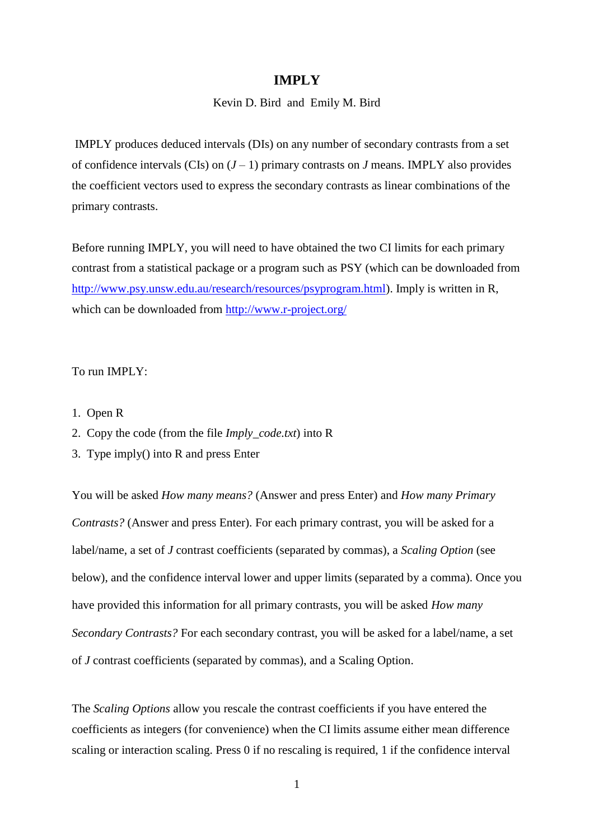## **IMPLY**

### Kevin D. Bird and Emily M. Bird

IMPLY produces deduced intervals (DIs) on any number of secondary contrasts from a set of confidence intervals (CIs) on  $(J-1)$  primary contrasts on *J* means. IMPLY also provides the coefficient vectors used to express the secondary contrasts as linear combinations of the primary contrasts.

Before running IMPLY, you will need to have obtained the two CI limits for each primary contrast from a statistical package or a program such as PSY (which can be downloaded from [http://www.psy.unsw.edu.au/research/resources/psyprogram.html\)](http://www.psy.unsw.edu.au/research/resources/psyprogram.html). Imply is written in R, which can be downloaded from<http://www.r-project.org/>

### To run IMPLY:

- 1. Open R
- 2. Copy the code (from the file *Imply\_code.txt*) into R
- 3. Type imply() into R and press Enter

You will be asked *How many means?* (Answer and press Enter) and *How many Primary Contrasts?* (Answer and press Enter). For each primary contrast, you will be asked for a label/name, a set of *J* contrast coefficients (separated by commas), a *Scaling Option* (see below), and the confidence interval lower and upper limits (separated by a comma). Once you have provided this information for all primary contrasts, you will be asked *How many Secondary Contrasts?* For each secondary contrast, you will be asked for a label/name, a set of *J* contrast coefficients (separated by commas), and a Scaling Option.

The *Scaling Options* allow you rescale the contrast coefficients if you have entered the coefficients as integers (for convenience) when the CI limits assume either mean difference scaling or interaction scaling. Press 0 if no rescaling is required, 1 if the confidence interval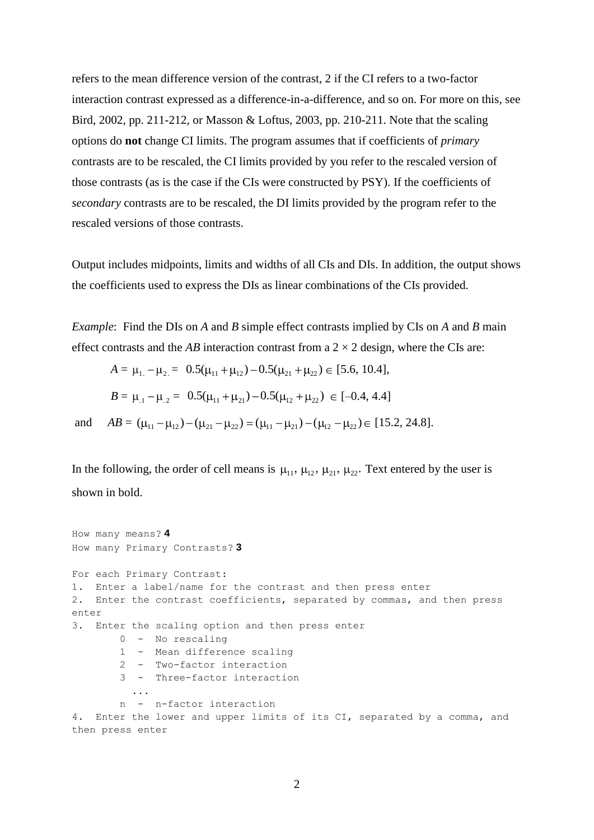refers to the mean difference version of the contrast, 2 if the CI refers to a two-factor interaction contrast expressed as a difference-in-a-difference, and so on. For more on this, see Bird, 2002, pp. 211-212, or Masson & Loftus, 2003, pp. 210-211. Note that the scaling options do **not** change CI limits. The program assumes that if coefficients of *primary* contrasts are to be rescaled, the CI limits provided by you refer to the rescaled version of those contrasts (as is the case if the CIs were constructed by PSY). If the coefficients of *secondary* contrasts are to be rescaled, the DI limits provided by the program refer to the rescaled versions of those contrasts.

Output includes midpoints, limits and widths of all CIs and DIs. In addition, the output shows the coefficients used to express the DIs as linear combinations of the CIs provided.

*Example*: Find the DIs on *A* and *B* simple effect contrasts implied by CIs on *A* and *B* main effect contrasts and the *AB* interaction contrast from a  $2 \times 2$  design, where the CIs are:

$$
A = \mu_{1} - \mu_{2} = 0.5(\mu_{11} + \mu_{12}) - 0.5(\mu_{21} + \mu_{22}) \in [5.6, 10.4],
$$
  
\n
$$
B = \mu_{.1} - \mu_{.2} = 0.5(\mu_{11} + \mu_{21}) - 0.5(\mu_{12} + \mu_{22}) \in [-0.4, 4.4]
$$
  
\nand 
$$
AB = (\mu_{11} - \mu_{12}) - (\mu_{21} - \mu_{22}) = (\mu_{11} - \mu_{21}) - (\mu_{12} - \mu_{22}) \in [15.2, 24.8].
$$

In the following, the order of cell means is  $\mu_{11}$ ,  $\mu_{12}$ ,  $\mu_{21}$ ,  $\mu_{22}$ . Text entered by the user is shown in bold.

```
How many means? 4
How many Primary Contrasts? 3
For each Primary Contrast:
1. Enter a label/name for the contrast and then press enter 
2. Enter the contrast coefficients, separated by commas, and then press 
enter
3. Enter the scaling option and then press enter
        0 - No rescaling
        1 - Mean difference scaling
        2 - Two-factor interaction
        3 - Three-factor interaction
 ...
        n - n-factor interaction 
4. Enter the lower and upper limits of its CI, separated by a comma, and 
then press enter
```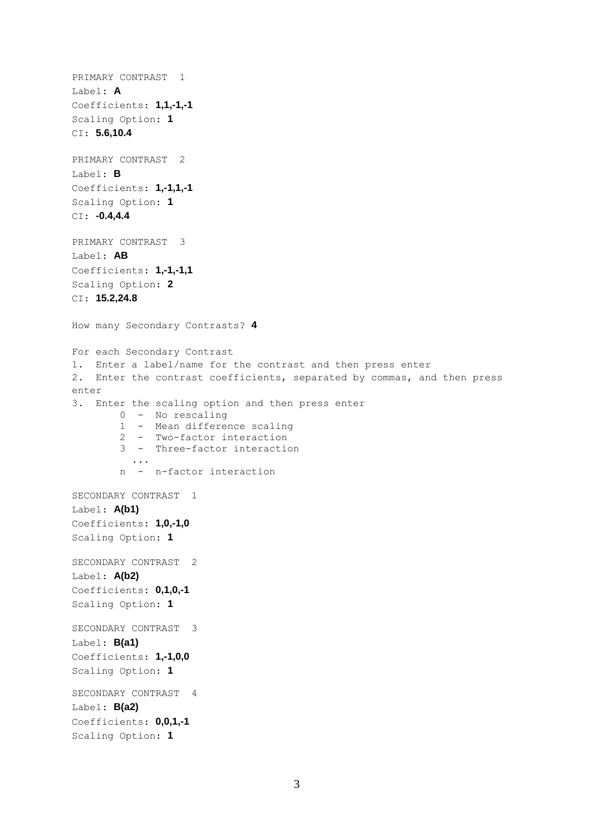```
PRIMARY CONTRAST 1 
Label: A
Coefficients: 1,1,-1,-1
Scaling Option: 1
CI: 5.6,10.4
PRIMARY CONTRAST 2 
Label: B
Coefficients: 1,-1,1,-1
Scaling Option: 1
CI: -0.4,4.4
PRIMARY CONTRAST 3 
Label: AB
Coefficients: 1,-1,-1,1
Scaling Option: 2
CI: 15.2,24.8
How many Secondary Contrasts? 4
For each Secondary Contrast
1. Enter a label/name for the contrast and then press enter 
2. Enter the contrast coefficients, separated by commas, and then press 
enter
3. Enter the scaling option and then press enter
         0 - No rescaling
         1 - Mean difference scaling
         2 - Two-factor interaction
         3 - Three-factor interaction
            ...
         n - n-factor interaction 
SECONDARY CONTRAST 1 
Label: A(b1)
Coefficients: 1,0,-1,0
Scaling Option: 1
SECONDARY CONTRAST 2 
Label: A(b2)
Coefficients: 0,1,0,-1
Scaling Option: 1
SECONDARY CONTRAST 3 
Label: B(a1)
Coefficients: 1,-1,0,0
Scaling Option: 1
SECONDARY CONTRAST 4 
Label: B(a2)
Coefficients: 0,0,1,-1
Scaling Option: 1
```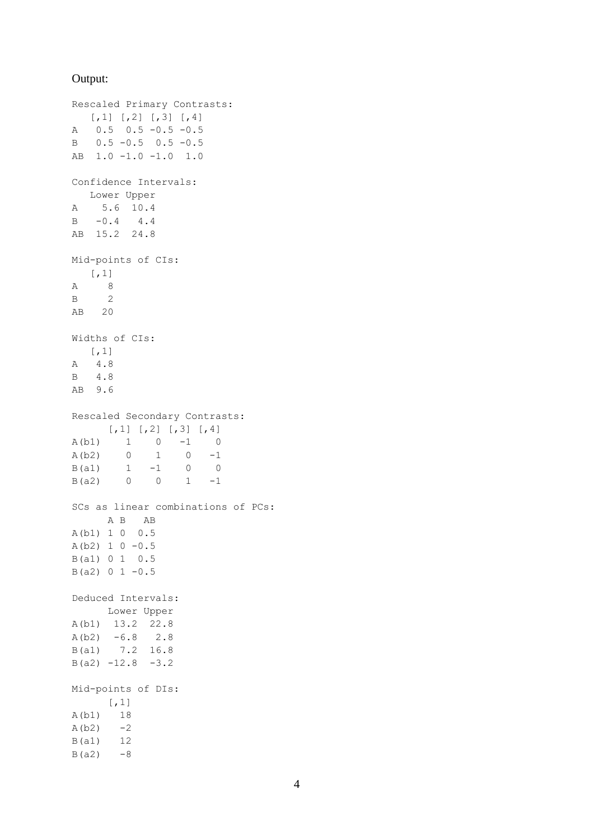#### Output:

```
Rescaled Primary Contrasts:
  [,1] [,2] [,3] [,4]
A 0.5 0.5 -0.5 -0.5
B 0.5 -0.5 0.5 -0.5
AB 1.0 -1.0 -1.0 1.0
Confidence Intervals:
   Lower Upper
A 5.6 10.4
B -0.4 4.4
AB 15.2 24.8
Mid-points of CIs:
  [,1]
A 8
B 2
AB 20
Widths of CIs:
  [,1]
A 4.8
B 4.8
AB 9.6
Rescaled Secondary Contrasts:
[,1] [,2] [,3] [,4]A(b1) 1 0 -1 0
A(b2) 0 1 0 -1
B(a1) 1 -1 0 0
B(a2) 0 0 1 -1SCs as linear combinations of PCs:
    A B AB
A(b1) 1 0 0.5
A(b2) 1 0 -0.5B(a1) 0 1 0.5
B(a2) 0 1 -0.5Deduced Intervals:
 Lower Upper
A(b1) 13.2 22.8
A(b2) -6.8 2.8
B(a1) 7.2 16.8
B(a2) -12.8 -3.2Mid-points of DIs:
  [,1]
A(b1) 18
A(b2) -2B(a1) 12
B(a2) -8
```